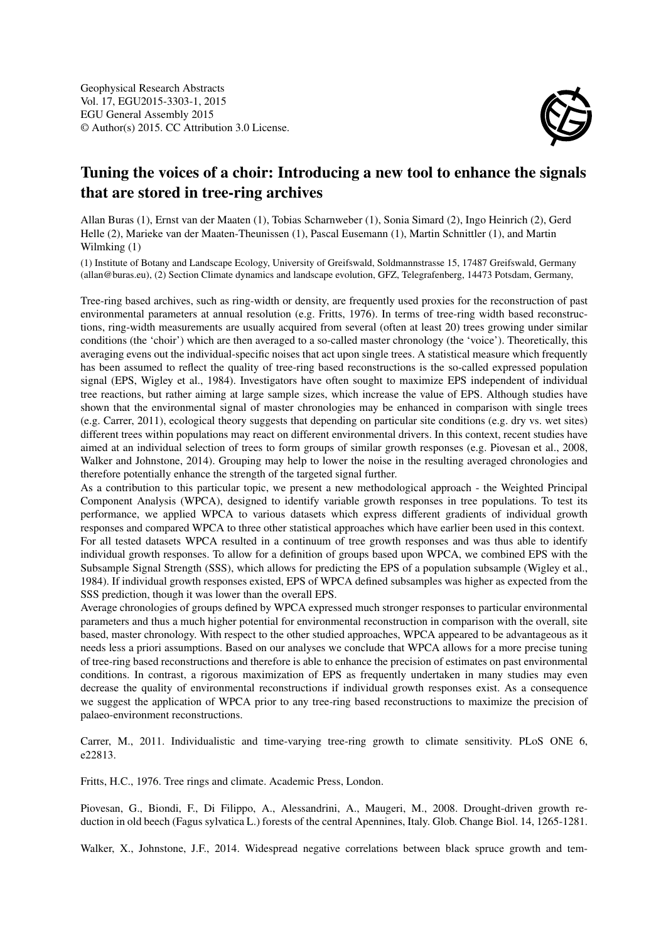

## Tuning the voices of a choir: Introducing a new tool to enhance the signals that are stored in tree-ring archives

Allan Buras (1), Ernst van der Maaten (1), Tobias Scharnweber (1), Sonia Simard (2), Ingo Heinrich (2), Gerd Helle (2), Marieke van der Maaten-Theunissen (1), Pascal Eusemann (1), Martin Schnittler (1), and Martin Wilmking (1)

(1) Institute of Botany and Landscape Ecology, University of Greifswald, Soldmannstrasse 15, 17487 Greifswald, Germany (allan@buras.eu), (2) Section Climate dynamics and landscape evolution, GFZ, Telegrafenberg, 14473 Potsdam, Germany,

Tree-ring based archives, such as ring-width or density, are frequently used proxies for the reconstruction of past environmental parameters at annual resolution (e.g. Fritts, 1976). In terms of tree-ring width based reconstructions, ring-width measurements are usually acquired from several (often at least 20) trees growing under similar conditions (the 'choir') which are then averaged to a so-called master chronology (the 'voice'). Theoretically, this averaging evens out the individual-specific noises that act upon single trees. A statistical measure which frequently has been assumed to reflect the quality of tree-ring based reconstructions is the so-called expressed population signal (EPS, Wigley et al., 1984). Investigators have often sought to maximize EPS independent of individual tree reactions, but rather aiming at large sample sizes, which increase the value of EPS. Although studies have shown that the environmental signal of master chronologies may be enhanced in comparison with single trees (e.g. Carrer, 2011), ecological theory suggests that depending on particular site conditions (e.g. dry vs. wet sites) different trees within populations may react on different environmental drivers. In this context, recent studies have aimed at an individual selection of trees to form groups of similar growth responses (e.g. Piovesan et al., 2008, Walker and Johnstone, 2014). Grouping may help to lower the noise in the resulting averaged chronologies and therefore potentially enhance the strength of the targeted signal further.

As a contribution to this particular topic, we present a new methodological approach - the Weighted Principal Component Analysis (WPCA), designed to identify variable growth responses in tree populations. To test its performance, we applied WPCA to various datasets which express different gradients of individual growth responses and compared WPCA to three other statistical approaches which have earlier been used in this context. For all tested datasets WPCA resulted in a continuum of tree growth responses and was thus able to identify individual growth responses. To allow for a definition of groups based upon WPCA, we combined EPS with the Subsample Signal Strength (SSS), which allows for predicting the EPS of a population subsample (Wigley et al., 1984). If individual growth responses existed, EPS of WPCA defined subsamples was higher as expected from the SSS prediction, though it was lower than the overall EPS.

Average chronologies of groups defined by WPCA expressed much stronger responses to particular environmental parameters and thus a much higher potential for environmental reconstruction in comparison with the overall, site based, master chronology. With respect to the other studied approaches, WPCA appeared to be advantageous as it needs less a priori assumptions. Based on our analyses we conclude that WPCA allows for a more precise tuning of tree-ring based reconstructions and therefore is able to enhance the precision of estimates on past environmental conditions. In contrast, a rigorous maximization of EPS as frequently undertaken in many studies may even decrease the quality of environmental reconstructions if individual growth responses exist. As a consequence we suggest the application of WPCA prior to any tree-ring based reconstructions to maximize the precision of palaeo-environment reconstructions.

Carrer, M., 2011. Individualistic and time-varying tree-ring growth to climate sensitivity. PLoS ONE 6, e22813.

Fritts, H.C., 1976. Tree rings and climate. Academic Press, London.

Piovesan, G., Biondi, F., Di Filippo, A., Alessandrini, A., Maugeri, M., 2008. Drought-driven growth reduction in old beech (Fagus sylvatica L.) forests of the central Apennines, Italy. Glob. Change Biol. 14, 1265-1281.

Walker, X., Johnstone, J.F., 2014. Widespread negative correlations between black spruce growth and tem-